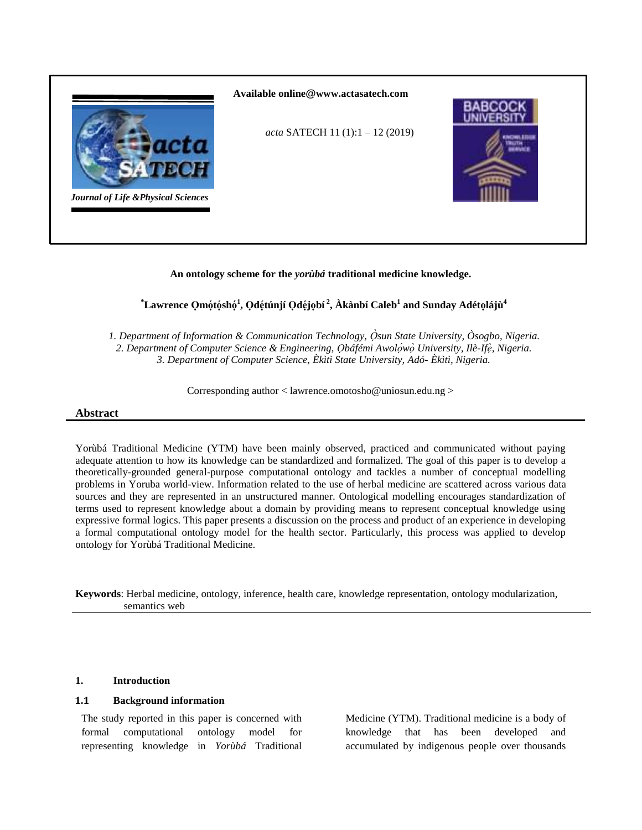

# **An ontology scheme for the** *yorùbá* **traditional medicine knowledge.**

# $^*$ Lawrence Qmǫ́tǫ́shǫ́<sup>1</sup>, Qdę́túnjí Qdę́jǫbí́ <sup>2</sup>, Àkànbí Caleb $^1$  and Sunday Adétǫlájù $^4$

*1. Department of Information & Communication Technology, Òsun State University, Òsogbo, Nigeria.* 2. Department of Computer Science & Engineering, *Qbáfémi Awolówò University, Ilè-Ifè, Nigeria. 3. Department of Computer Science, Èkìtì State University, Adó- Èkìtì, Nigeria.* 

Corresponding author < lawrence.omotosho@uniosun.edu.ng >

## **Abstract**

Yorùbá Traditional Medicine (YTM) have been mainly observed, practiced and communicated without paying adequate attention to how its knowledge can be standardized and formalized. The goal of this paper is to develop a theoretically-grounded general-purpose computational ontology and tackles a number of conceptual modelling problems in Yoruba world-view. Information related to the use of herbal medicine are scattered across various data sources and they are represented in an unstructured manner. Ontological modelling encourages standardization of terms used to represent knowledge about a domain by providing means to represent conceptual knowledge using expressive formal logics. This paper presents a discussion on the process and product of an experience in developing a formal computational ontology model for the health sector. Particularly, this process was applied to develop ontology for Yorùbá Traditional Medicine.

**Keywords**: Herbal medicine, ontology, inference, health care, knowledge representation, ontology modularization, semantics web

## **1. Introduction**

#### **1.1 Background information**

The study reported in this paper is concerned with formal computational ontology model for representing knowledge in *Yorùbá* Traditional

Medicine (YTM). Traditional medicine is a body of knowledge that has been developed and accumulated by indigenous people over thousands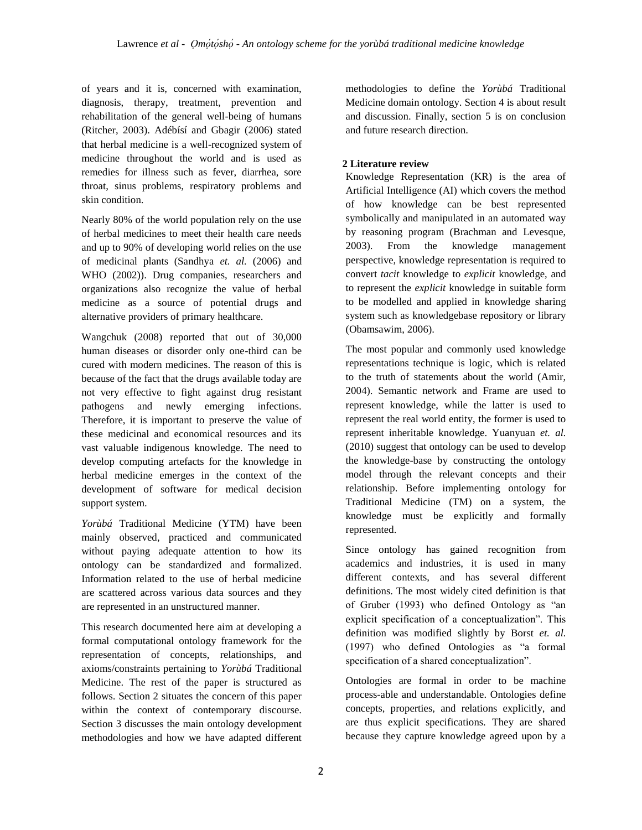of years and it is, concerned with examination, diagnosis, therapy, treatment, prevention and rehabilitation of the general well-being of humans (Ritcher, 2003). Adébísí and Gbagir (2006) stated that herbal medicine is a well-recognized system of medicine throughout the world and is used as remedies for illness such as fever, diarrhea, sore throat, sinus problems, respiratory problems and skin condition.

Nearly 80% of the world population rely on the use of herbal medicines to meet their health care needs and up to 90% of developing world relies on the use of medicinal plants (Sandhya *et. al.* (2006) and WHO (2002)). Drug companies, researchers and organizations also recognize the value of herbal medicine as a source of potential drugs and alternative providers of primary healthcare.

Wangchuk (2008) reported that out of 30,000 human diseases or disorder only one-third can be cured with modern medicines. The reason of this is because of the fact that the drugs available today are not very effective to fight against drug resistant pathogens and newly emerging infections. Therefore, it is important to preserve the value of these medicinal and economical resources and its vast valuable indigenous knowledge. The need to develop computing artefacts for the knowledge in herbal medicine emerges in the context of the development of software for medical decision support system.

*Yorùbá* Traditional Medicine (YTM) have been mainly observed, practiced and communicated without paying adequate attention to how its ontology can be standardized and formalized. Information related to the use of herbal medicine are scattered across various data sources and they are represented in an unstructured manner.

This research documented here aim at developing a formal computational ontology framework for the representation of concepts, relationships, and axioms/constraints pertaining to *Yorùbá* Traditional Medicine. The rest of the paper is structured as follows. Section 2 situates the concern of this paper within the context of contemporary discourse. Section 3 discusses the main ontology development methodologies and how we have adapted different

methodologies to define the *Yorùbá* Traditional Medicine domain ontology. Section 4 is about result and discussion. Finally, section 5 is on conclusion and future research direction.

# **2 Literature review**

Knowledge Representation (KR) is the area of Artificial Intelligence (AI) which covers the method of how knowledge can be best represented symbolically and manipulated in an automated way by reasoning program (Brachman and Levesque, 2003). From the knowledge management perspective, knowledge representation is required to convert *tacit* knowledge to *explicit* knowledge, and to represent the *explicit* knowledge in suitable form to be modelled and applied in knowledge sharing system such as knowledgebase repository or library (Obamsawim, 2006).

The most popular and commonly used knowledge representations technique is logic, which is related to the truth of statements about the world (Amir, 2004). Semantic network and Frame are used to represent knowledge, while the latter is used to represent the real world entity, the former is used to represent inheritable knowledge. Yuanyuan *et. al.*  (2010) suggest that ontology can be used to develop the knowledge-base by constructing the ontology model through the relevant concepts and their relationship. Before implementing ontology for Traditional Medicine (TM) on a system, the knowledge must be explicitly and formally represented.

Since ontology has gained recognition from academics and industries, it is used in many different contexts, and has several different definitions. The most widely cited definition is that of Gruber (1993) who defined Ontology as "an explicit specification of a conceptualization". This definition was modified slightly by Borst *et. al.*  (1997) who defined Ontologies as "a formal specification of a shared conceptualization".

Ontologies are formal in order to be machine process-able and understandable. Ontologies define concepts, properties, and relations explicitly, and are thus explicit specifications. They are shared because they capture knowledge agreed upon by a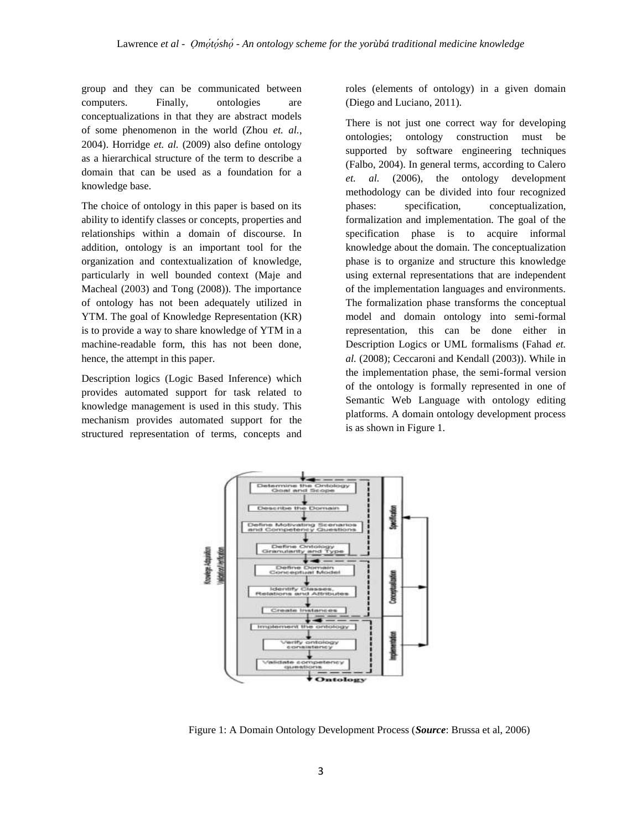group and they can be communicated between computers. Finally, ontologies are conceptualizations in that they are abstract models of some phenomenon in the world (Zhou *et. al.*, 2004). Horridge *et. al.* (2009) also define ontology as a hierarchical structure of the term to describe a domain that can be used as a foundation for a knowledge base.

The choice of ontology in this paper is based on its ability to identify classes or concepts, properties and relationships within a domain of discourse. In addition, ontology is an important tool for the organization and contextualization of knowledge, particularly in well bounded context (Maje and Macheal (2003) and Tong (2008)). The importance of ontology has not been adequately utilized in YTM. The goal of Knowledge Representation (KR) is to provide a way to share knowledge of YTM in a machine-readable form, this has not been done, hence, the attempt in this paper.

Description logics (Logic Based Inference) which provides automated support for task related to knowledge management is used in this study. This mechanism provides automated support for the structured representation of terms, concepts and roles (elements of ontology) in a given domain (Diego and Luciano, 2011).

There is not just one correct way for developing ontologies; ontology construction must be supported by software engineering techniques (Falbo, 2004). In general terms, according to Calero *et. al.* (2006), the ontology development methodology can be divided into four recognized phases: specification, conceptualization, formalization and implementation. The goal of the specification phase is to acquire informal knowledge about the domain. The conceptualization phase is to organize and structure this knowledge using external representations that are independent of the implementation languages and environments. The formalization phase transforms the conceptual model and domain ontology into semi-formal representation, this can be done either in Description Logics or UML formalisms (Fahad *et. al.* (2008); Ceccaroni and Kendall (2003)). While in the implementation phase, the semi-formal version of the ontology is formally represented in one of Semantic Web Language with ontology editing platforms. A domain ontology development process is as shown in Figure 1.



Figure 1: A Domain Ontology Development Process (*Source*: Brussa et al, 2006)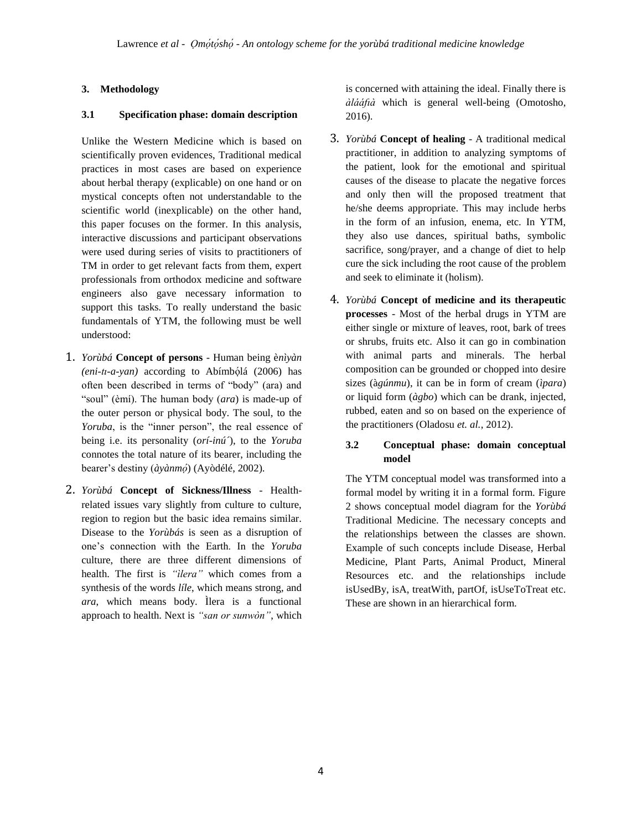# **3. Methodology**

## **3.1 Specification phase: domain description**

Unlike the Western Medicine which is based on scientifically proven evidences, Traditional medical practices in most cases are based on experience about herbal therapy (explicable) on one hand or on mystical concepts often not understandable to the scientific world (inexplicable) on the other hand, this paper focuses on the former. In this analysis, interactive discussions and participant observations were used during series of visits to practitioners of TM in order to get relevant facts from them, expert professionals from orthodox medicine and software engineers also gave necessary information to support this tasks. To really understand the basic fundamentals of YTM, the following must be well understood:

- 1. *Yorùbá* **Concept of persons**  Human being è*nìyàn*  (eni-tı-a-yan) according to Abímbólá (2006) has often been described in terms of "body" (ara) and "soul" (èmí). The human body (*ara*) is made-up of the outer person or physical body. The soul, to the *Yoruba*, is the "inner person", the real essence of being i.e. its personality (*orí-inú´*), to the *Yoruba*  connotes the total nature of its bearer, including the bearer's destiny (*àyànmó*) (Ayòdélé, 2002).
- 2. *Yorùbá* **Concept of Sickness/Illness**  Healthrelated issues vary slightly from culture to culture, region to region but the basic idea remains similar. Disease to the *Yorùbás* is seen as a disruption of one"s connection with the Earth. In the *Yoruba*  culture, there are three different dimensions of health. The first is *"ìlera"* which comes from a synthesis of the words *líle*, which means strong, and *ara*, which means body. Ìlera is a functional approach to health. Next is *"san or sunwòn"*, which

is concerned with attaining the ideal. Finally there is *àlááfıà* which is general well-being (Omotosho, 2016).

- 3. *Yorùbá* **Concept of healing**  A traditional medical practitioner, in addition to analyzing symptoms of the patient, look for the emotional and spiritual causes of the disease to placate the negative forces and only then will the proposed treatment that he/she deems appropriate. This may include herbs in the form of an infusion, enema, etc. In YTM, they also use dances, spiritual baths, symbolic sacrifice, song/prayer, and a change of diet to help cure the sick including the root cause of the problem and seek to eliminate it (holism).
- 4. *Yorùbá* **Concept of medicine and its therapeutic processes** - Most of the herbal drugs in YTM are either single or mixture of leaves, root, bark of trees or shrubs, fruits etc. Also it can go in combination with animal parts and minerals. The herbal composition can be grounded or chopped into desire sizes (à*gúnmu*), it can be in form of cream (*ìpara*) or liquid form (*àgbo*) which can be drank, injected, rubbed, eaten and so on based on the experience of the practitioners (Oladosu *et. al.*, 2012).

# **3.2 Conceptual phase: domain conceptual model**

The YTM conceptual model was transformed into a formal model by writing it in a formal form. Figure 2 shows conceptual model diagram for the *Yorùbá* Traditional Medicine. The necessary concepts and the relationships between the classes are shown. Example of such concepts include Disease, Herbal Medicine, Plant Parts, Animal Product, Mineral Resources etc. and the relationships include isUsedBy, isA, treatWith, partOf, isUseToTreat etc. These are shown in an hierarchical form.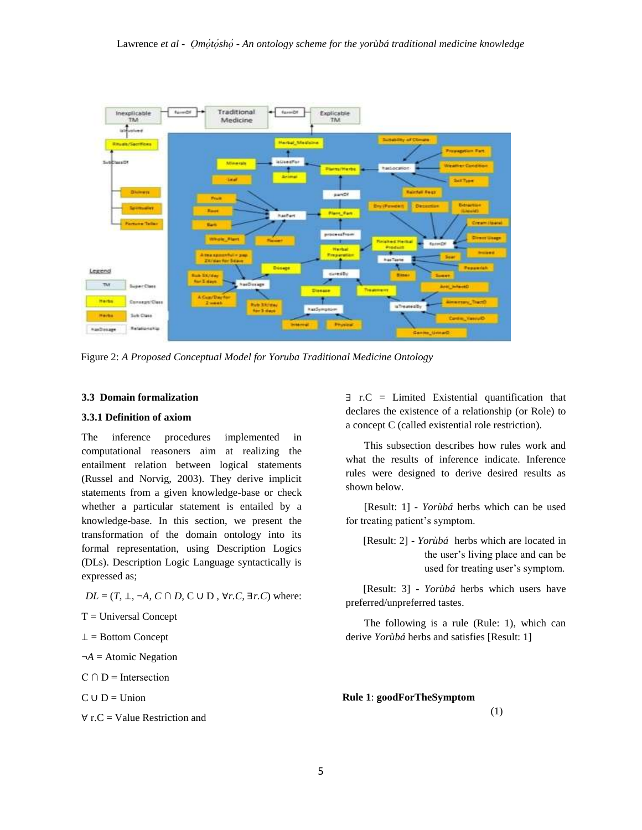

Figure 2: *A Proposed Conceptual Model for Yoruba Traditional Medicine Ontology*

#### **3.3 Domain formalization**

#### **3.3.1 Definition of axiom**

The inference procedures implemented in computational reasoners aim at realizing the entailment relation between logical statements (Russel and Norvig, 2003). They derive implicit statements from a given knowledge-base or check whether a particular statement is entailed by a knowledge-base. In this section, we present the transformation of the domain ontology into its formal representation, using Description Logics (DLs). Description Logic Language syntactically is expressed as;

*DL* =  $(T, \bot, \neg A, C \cap D, C \cup D, \forall r.C, \exists r.C)$  where:

 $T =$  Universal Concept

 $\perp$  = Bottom Concept

¬*A* = Atomic Negation

 $C \cap D$  = Intersection

 $C \cup D =$  Union

 $\forall$  r.C = Value Restriction and

∃ r.C = Limited Existential quantification that declares the existence of a relationship (or Role) to a concept C (called existential role restriction).

This subsection describes how rules work and what the results of inference indicate. Inference rules were designed to derive desired results as shown below.

[Result: 1] - *Yorùbá* herbs which can be used for treating patient's symptom.

[Result: 2] - *Yorùbá* herbs which are located in the user"s living place and can be used for treating user's symptom.

[Result: 3] - *Yorùbá* herbs which users have preferred/unpreferred tastes.

The following is a rule (Rule: 1), which can derive *Yorùbá* herbs and satisfies [Result: 1]

**Rule 1**: **goodForTheSymptom** 

(1)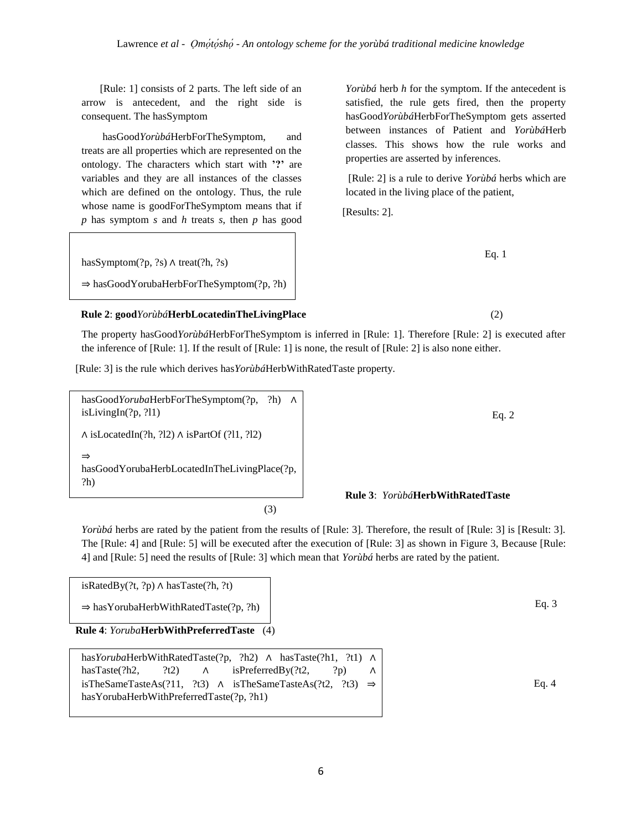[Rule: 1] consists of 2 parts. The left side of an arrow is antecedent, and the right side is consequent. The hasSymptom

hasGood*Yorùbá*HerbForTheSymptom, and treats are all properties which are represented on the ontology. The characters which start with **'?'** are variables and they are all instances of the classes which are defined on the ontology. Thus, the rule whose name is goodForTheSymptom means that if *p* has symptom *s* and *h* treats *s*, then *p* has good

*Yorùbá* herb *h* for the symptom. If the antecedent is satisfied, the rule gets fired, then the property hasGood*Yorùbá*HerbForTheSymptom gets asserted between instances of Patient and *Yorùbá*Herb classes. This shows how the rule works and properties are asserted by inferences.

[Rule: 2] is a rule to derive *Yorùbá* herbs which are located in the living place of the patient,

[Results: 2].

Eq. 1

hasSymptom(?p, ?s) ∧ treat(?h, ?s)

⇒ hasGoodYorubaHerbForTheSymptom(?p, ?h)

## **Rule 2**: **good***Yorùbá***HerbLocatedinTheLivingPlace** (2)

The property hasGood*Yorùbá*HerbForTheSymptom is inferred in [Rule: 1]. Therefore [Rule: 2] is executed after the inference of [Rule: 1]. If the result of [Rule: 1] is none, the result of [Rule: 2] is also none either.

[Rule: 3] is the rule which derives has*Yorùbá*HerbWithRatedTaste property.

hasGood*Yoruba*HerbForTheSymptom(?p, ?h) ∧ isLivingIn(?p, ?l1)

∧ isLocatedIn(?h, ?l2) ∧ isPartOf (?l1, ?l2)

⇒ hasGoodYorubaHerbLocatedInTheLivingPlace(?p, ?h)

(3)

# **Rule 3**: *Yorùbá***HerbWithRatedTaste**

*Yorùbá* herbs are rated by the patient from the results of [Rule: 3]. Therefore, the result of [Rule: 3] is [Result: 3]. The [Rule: 4] and [Rule: 5] will be executed after the execution of [Rule: 3] as shown in Figure 3, Because [Rule: 4] and [Rule: 5] need the results of [Rule: 3] which mean that *Yorùbá* herbs are rated by the patient.

isRatedBy(?t, ?p) ∧ hasTaste(?h, ?t)

⇒ hasYorubaHerbWithRatedTaste(?p, ?h)

**Rule 4**: *Yoruba***HerbWithPreferredTaste** (4)

has*Yoruba*HerbWithRatedTaste(?p, ?h2) ∧ hasTaste(?h1, ?t1) ∧ hasTaste(?h2, ?t2) ∧ isPreferredBy(?t2, ?p) ∧ isTheSameTasteAs(?11, ?t3) ∧ isTheSameTasteAs(?t2, ?t3)  $\Rightarrow$ hasYorubaHerbWithPreferredTaste(?p, ?h1)

Eq. 3

# Eq. 4

Eq. 2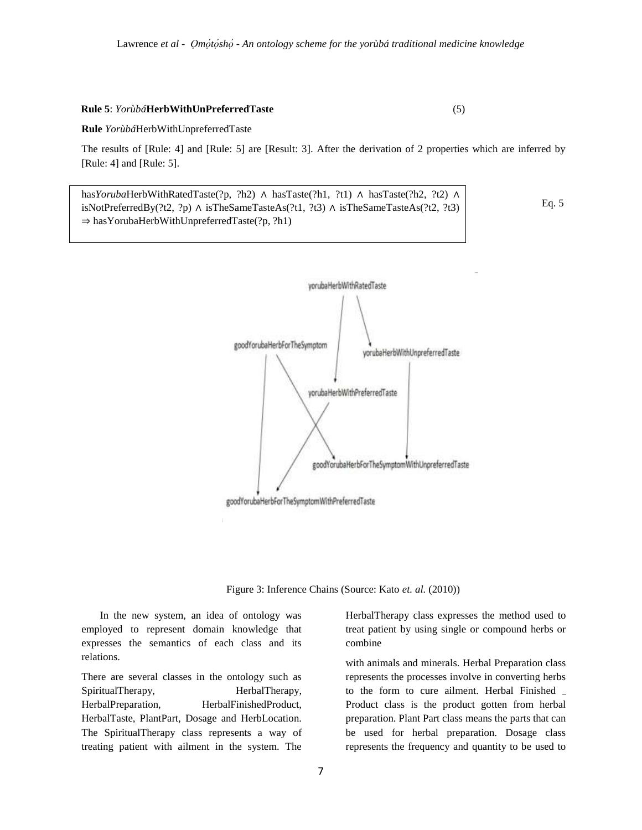#### **Rule 5**: *Yorùbá***HerbWithUnPreferredTaste** (5)

#### **Rule** *Yorùbá*HerbWithUnpreferredTaste

The results of [Rule: 4] and [Rule: 5] are [Result: 3]. After the derivation of 2 properties which are inferred by [Rule: 4] and [Rule: 5].

has*Yoruba*HerbWithRatedTaste(?p, ?h2) ∧ hasTaste(?h1, ?t1) ∧ hasTaste(?h2, ?t2) ∧ isNotPreferredBy(?t2, ?p) ∧ isTheSameTasteAs(?t1, ?t3) ∧ isTheSameTasteAs(?t2, ?t3) ⇒ hasYorubaHerbWithUnpreferredTaste(?p, ?h1)

Eq. 5



Figure 3: Inference Chains (Source: Kato *et. al.* (2010))

In the new system, an idea of ontology was employed to represent domain knowledge that expresses the semantics of each class and its relations.

There are several classes in the ontology such as SpiritualTherapy, HerbalTherapy, HerbalPreparation, HerbalFinishedProduct, HerbalTaste, PlantPart, Dosage and HerbLocation. The SpiritualTherapy class represents a way of treating patient with ailment in the system. The

HerbalTherapy class expresses the method used to treat patient by using single or compound herbs or combine

with animals and minerals. Herbal Preparation class represents the processes involve in converting herbs to the form to cure ailment. Herbal Finished Product class is the product gotten from herbal preparation. Plant Part class means the parts that can be used for herbal preparation. Dosage class represents the frequency and quantity to be used to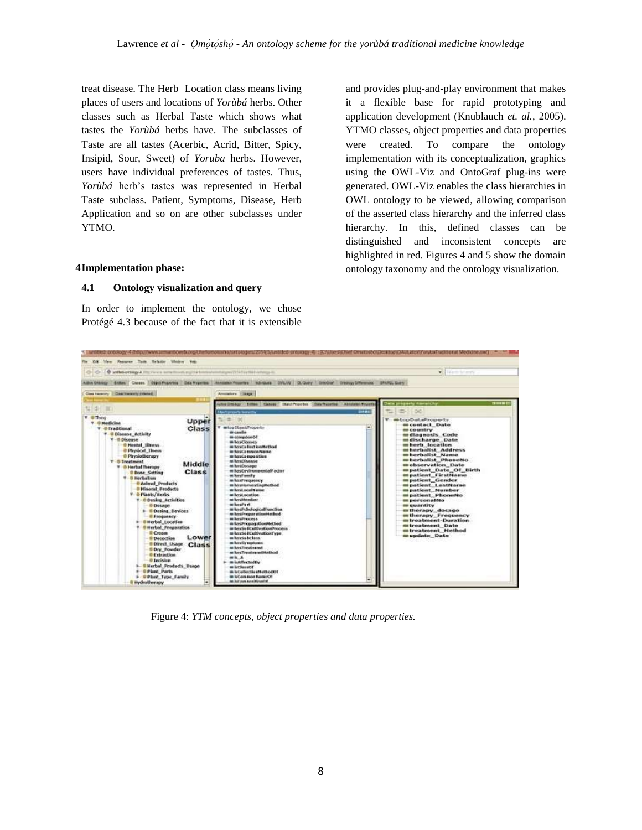treat disease. The Herb Location class means living places of users and locations of *Yorùbá* herbs. Other classes such as Herbal Taste which shows what tastes the *Yorùbá* herbs have. The subclasses of Taste are all tastes (Acerbic, Acrid, Bitter, Spicy, Insipid, Sour, Sweet) of *Yoruba* herbs. However, users have individual preferences of tastes. Thus, *Yorùbá* herb"s tastes was represented in Herbal Taste subclass. Patient, Symptoms, Disease, Herb Application and so on are other subclasses under YTMO.

and provides plug-and-play environment that makes it a flexible base for rapid prototyping and application development (Knublauch *et. al.*, 2005). YTMO classes, object properties and data properties were created. To compare the ontology implementation with its conceptualization, graphics using the OWL-Viz and OntoGraf plug-ins were generated. OWL-Viz enables the class hierarchies in OWL ontology to be viewed, allowing comparison of the asserted class hierarchy and the inferred class hierarchy. In this, defined classes can be distinguished and inconsistent concepts are highlighted in red. Figures 4 and 5 show the domain ontology taxonomy and the ontology visualization.

#### **4Implementation phase:**

### **4.1 Ontology visualization and query**

In order to implement the ontology, we chose Protégé 4.3 because of the fact that it is extensible



Figure 4: *YTM concepts, object properties and data properties.*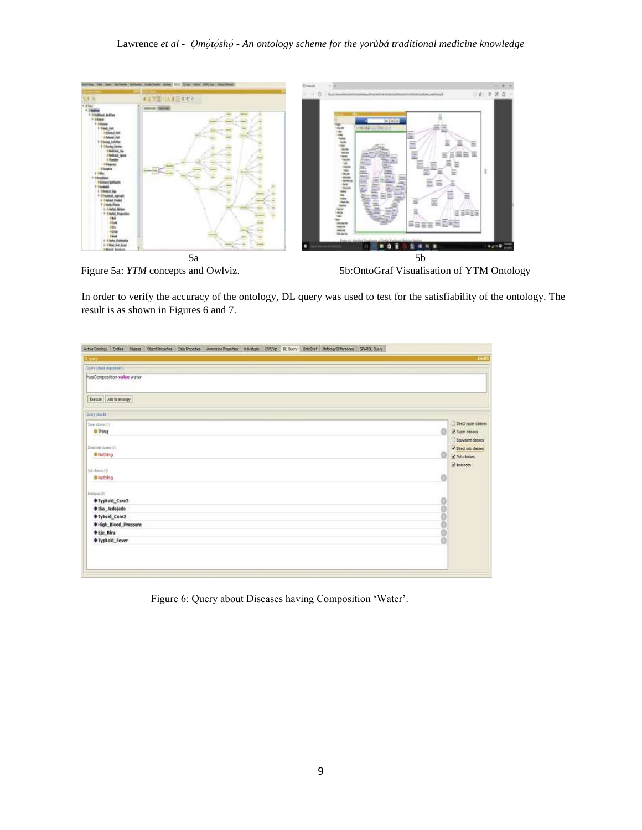

Figure 5a: *YTM* concepts and Owlviz. 5b:OntoGraf Visualisation of YTM Ontology

In order to verify the accuracy of the ontology, DL query was used to test for the satisfiability of the ontology. The result is as shown in Figures 6 and 7.

| <b>Liters</b>                |               | <b>TEST</b>         |
|------------------------------|---------------|---------------------|
| Carry (that supressor)       |               |                     |
| hasComposition value water   |               |                     |
| Execute Add to antistrgy     |               |                     |
| Dany made                    |               |                     |
| Spectrum (1)                 |               | Orect super classes |
| <b>O</b> Thing               | 6             | Super classes       |
|                              |               | Equivalent classes  |
| Died op dates (F)            |               | Cirect sub classes  |
| · Nothing                    | o             | Sub classes         |
|                              |               | V interces          |
| tia shape (0)<br>@ Nothing   | O             |                     |
|                              |               |                     |
| Infarion 25                  |               |                     |
| <b><i>OTyphoid_Cure3</i></b> |               |                     |
| #Iba_Jedojedo                | $\frac{0}{2}$ |                     |
| <b><i>OTyhoid_Cure2</i></b>  |               |                     |
| #High_Blood_Pressure         |               |                     |
| <b>♦ Eje_Riru</b>            | ă             |                     |
| <b><i>OTyphoid Fever</i></b> |               |                     |
|                              |               |                     |
|                              |               |                     |
|                              |               |                     |

Figure 6: Query about Diseases having Composition "Water".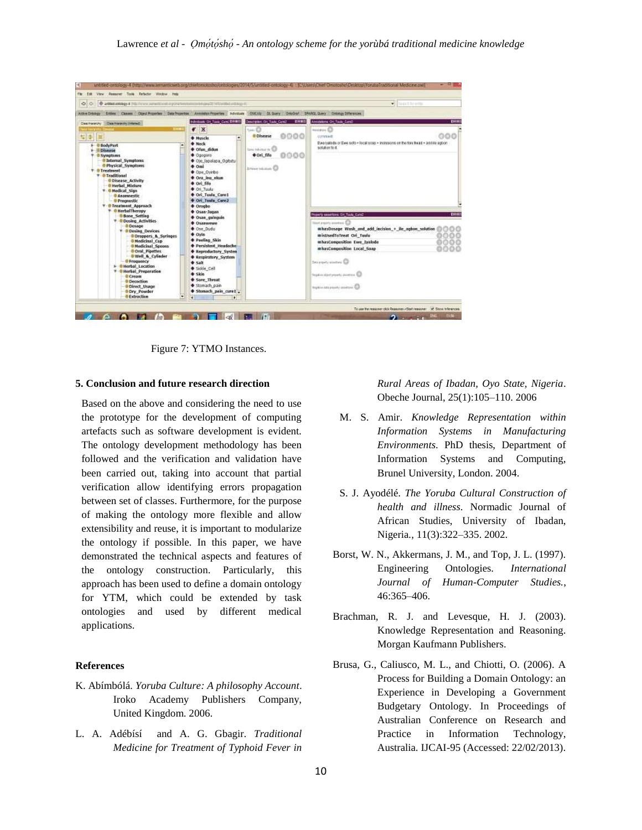| @ attackenegy 4 (Nationer resume environmental information that the other of<br>$\leftrightarrow$<br><b>C</b>                                                                                                                                                                                                                                                                                                                                                                                                                                                                                                                                             |                                                                                                                                                                                                                                                                                                                                                                                                                |                                                                                                                                                                                      | <b>Tinnet for a cra</b><br>۰.                                                                                                                                                                                                                                                                                                   |
|-----------------------------------------------------------------------------------------------------------------------------------------------------------------------------------------------------------------------------------------------------------------------------------------------------------------------------------------------------------------------------------------------------------------------------------------------------------------------------------------------------------------------------------------------------------------------------------------------------------------------------------------------------------|----------------------------------------------------------------------------------------------------------------------------------------------------------------------------------------------------------------------------------------------------------------------------------------------------------------------------------------------------------------------------------------------------------------|--------------------------------------------------------------------------------------------------------------------------------------------------------------------------------------|---------------------------------------------------------------------------------------------------------------------------------------------------------------------------------------------------------------------------------------------------------------------------------------------------------------------------------|
| Advectors (China Classe) Class Class Total Process Annisha Process Volvours DUCVIs D. Guery Drivery County Orleans<br><b>VOIDABLE ON TANK CONTROLLER</b><br>Class Hererchy Class Hererchy (Informal)<br>×<br>THEFT<br>$\bullet$<br>屋中<br>面<br>۰<br><b>+ Nuscle</b><br><b>+ Neck</b><br>+ @ BodyPart<br>+ Ofun didun<br><b>F-Il Disease</b><br>+ Ogoporo<br><b>T-B Symptoms</b><br>· @Internal Symptoms<br>Cie lapalapa Optutui<br>@ Physical Symptoms<br>$+$ Oni<br><b>T-O Treatment</b><br>Coe Ovido<br><b>T</b> © Traditional<br><b>Ora ing elgen</b><br><b><i>Oisease Activity</i></b>                                                                 | Description On Task: Coniz 4986<br><b>Smill</b><br>0000<br>@ Disease<br>tam relieva in Ca<br><b>Ori filo</b><br>0000<br><b>Distances Co.</b>                                                                                                                                                                                                                                                                   | Antifactors: On Taxa: Cand:<br><b>DB11</b><br>minum<br><b>DOC</b><br>connect<br>Ewe ivalode or like jedb + local scop + incissions on the fore head + addite agron<br>solution to 4. |                                                                                                                                                                                                                                                                                                                                 |
| - @ Herbel Mixture<br>T O Hodical Sign<br>@ Anamnestic<br>- O Prognestic<br><b>Y</b> O Treatment Approach<br><b>T</b> @ Herball herapy<br><b>Bone Setting</b><br><b>T - @ Dosing Activities</b><br><b><i><u>&amp; Dosage</u></i></b><br>* <i>*</i> Dosing Devices<br>Oproppers & Syringes<br><b>O</b> Medicinal Cup<br><b><i>U</i></b> Nedicinal Spoons<br><b>O Oral</b> , Pipettes<br>. O Well & Cylinder<br>- @ Frequency<br><b><i><u>@Herbal Location</u></i></b><br><b><i><u>*Herbel</u></i></b> Preparation<br><b><i><u>@ Cream</u></i></b><br><sup>®</sup> Decochion<br><b>Direct Usage</b><br><b>ODry Powder</b><br><b><i>WExtraction</i></b><br>٠ | + Ori fife<br>City Tucky<br><b>+ Ori Teolo Cure1</b><br><b>Con Texts Care 2</b><br><b>Crogbo</b><br>Cisan-Jacon<br>+ Osan quinquin<br><b>CARNWHY</b><br>Cose Dudu<br><b>Ovin</b><br>+ Peeling Skin<br><b>+</b> Persistent Headache<br><b>+ Reproductory System</b><br><b>+ Respiratory System</b><br><b>+ Salt</b><br>· Sobe Cell<br>$+$ Skin<br>Sore Throat<br>· Storiach pain<br><b>+ Stomach pain cure!</b> |                                                                                                                                                                                      | BREE<br>Property assertons: Dr. Tush, Cate2<br>liked province anniune (C)<br>mhasDosage Wash and add incision + ile agbon solution<br>misUsedToTreat Ori Tuulu<br>mhasComposition Ewe Iyalode<br>mhasCompesition Local Soap<br>Sea papieri alasmesi Cit<br>Nepplaceabled presenty pointment (C)<br>load in an archity manuel GD |

Figure 7: YTMO Instances.

#### **5. Conclusion and future research direction**

Based on the above and considering the need to use the prototype for the development of computing artefacts such as software development is evident. The ontology development methodology has been followed and the verification and validation have been carried out, taking into account that partial verification allow identifying errors propagation between set of classes. Furthermore, for the purpose of making the ontology more flexible and allow extensibility and reuse, it is important to modularize the ontology if possible. In this paper, we have demonstrated the technical aspects and features of the ontology construction. Particularly, this approach has been used to define a domain ontology for YTM, which could be extended by task ontologies and used by different medical applications.

#### **References**

- K. Abímbólá. *Yoruba Culture: A philosophy Account*. Iroko Academy Publishers Company, United Kingdom. 2006.
- L. A. Adébísí and A. G. Gbagir. *Traditional Medicine for Treatment of Typhoid Fever in*

*Rural Areas of Ibadan, Oyo State, Nigeria*. Obeche Journal, 25(1):105–110. 2006

- M. S. Amir. *Knowledge Representation within Information Systems in Manufacturing Environments*. PhD thesis, Department of Information Systems and Computing, Brunel University, London. 2004.
- S. J. Ayodélé. *The Yoruba Cultural Construction of health and illness*. Normadic Journal of African Studies, University of Ibadan, Nigeria*.*, 11(3):322–335. 2002.
- Borst, W. N., Akkermans, J. M., and Top, J. L. (1997). Engineering Ontologies. *International Journal of Human-Computer Studies.*, 46:365–406.
- Brachman, R. J. and Levesque, H. J. (2003). Knowledge Representation and Reasoning. Morgan Kaufmann Publishers.
- Brusa, G., Caliusco, M. L., and Chiotti, O. (2006). A Process for Building a Domain Ontology: an Experience in Developing a Government Budgetary Ontology. In Proceedings of Australian Conference on Research and Practice in Information Technology, Australia. IJCAI-95 (Accessed: 22/02/2013).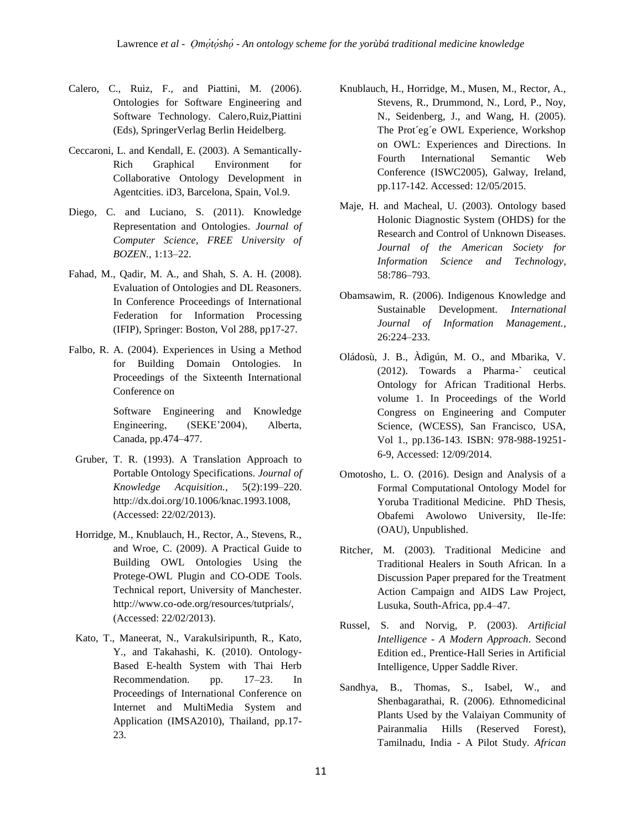- Calero, C., Ruiz, F., and Piattini, M. (2006). Ontologies for Software Engineering and Software Technology. Calero,Ruiz,Piattini (Eds), SpringerVerlag Berlin Heidelberg.
- Ceccaroni, L. and Kendall, E. (2003). A Semantically-Rich Graphical Environment for Collaborative Ontology Development in Agentcities. iD3, Barcelona, Spain, Vol.9.
- Diego, C. and Luciano, S. (2011). Knowledge Representation and Ontologies. *Journal of Computer Science, FREE University of BOZEN.*, 1:13–22.
- Fahad, M., Qadir, M. A., and Shah, S. A. H. (2008). Evaluation of Ontologies and DL Reasoners. In Conference Proceedings of International Federation for Information Processing (IFIP), Springer: Boston, Vol 288, pp17-27.
- Falbo, R. A. (2004). Experiences in Using a Method for Building Domain Ontologies. In Proceedings of the Sixteenth International Conference on

Software Engineering and Knowledge Engineering, (SEKE"2004), Alberta, Canada, pp.474–477.

- Gruber, T. R. (1993). A Translation Approach to Portable Ontology Specifications. *Journal of Knowledge Acquisition.*, 5(2):199–220. http://dx.doi.org/10.1006/knac.1993.1008, (Accessed: 22/02/2013).
- Horridge, M., Knublauch, H., Rector, A., Stevens, R., and Wroe, C. (2009). A Practical Guide to Building OWL Ontologies Using the Protege-OWL Plugin and CO-ODE Tools. Technical report, University of Manchester. http://www.co-ode.org/resources/tutprials/, (Accessed: 22/02/2013).
- Kato, T., Maneerat, N., Varakulsiripunth, R., Kato, Y., and Takahashi, K. (2010). Ontology-Based E-health System with Thai Herb Recommendation. pp. 17–23. In Proceedings of International Conference on Internet and MultiMedia System and Application (IMSA2010), Thailand, pp.17- 23.
- Knublauch, H., Horridge, M., Musen, M., Rector, A., Stevens, R., Drummond, N., Lord, P., Noy, N., Seidenberg, J., and Wang, H. (2005). The Prot´eg´e OWL Experience, Workshop on OWL: Experiences and Directions. In Fourth International Semantic Web Conference (ISWC2005), Galway, Ireland, pp.117-142. Accessed: 12/05/2015.
- Maje, H. and Macheal, U. (2003). Ontology based Holonic Diagnostic System (OHDS) for the Research and Control of Unknown Diseases. *Journal of the American Society for Information Science and Technology*, 58:786–793.
- Obamsawim, R. (2006). Indigenous Knowledge and Sustainable Development. *International Journal of Information Management.*, 26:224–233.
- Oládosù, J. B., Àdìgún, M. O., and Mbarika, V. (2012). Towards a Pharma-` ceutical Ontology for African Traditional Herbs. volume 1. In Proceedings of the World Congress on Engineering and Computer Science, (WCESS), San Francisco, USA, Vol 1., pp.136-143. ISBN: 978-988-19251- 6-9, Accessed: 12/09/2014.
- Omotosho, L. O. (2016). Design and Analysis of a Formal Computational Ontology Model for Yoruba Traditional Medicine. PhD Thesis, Obafemi Awolowo University, Ile-Ife: (OAU), Unpublished.
- Ritcher, M. (2003). Traditional Medicine and Traditional Healers in South African. In a Discussion Paper prepared for the Treatment Action Campaign and AIDS Law Project, Lusuka, South-Africa, pp.4–47.
- Russel, S. and Norvig, P. (2003). *Artificial Intelligence - A Modern Approach*. Second Edition ed., Prentice-Hall Series in Artificial Intelligence, Upper Saddle River.
- Sandhya, B., Thomas, S., Isabel, W., and Shenbagarathai, R. (2006). Ethnomedicinal Plants Used by the Valaiyan Community of Pairanmalia Hills (Reserved Forest), Tamilnadu, India - A Pilot Study. *African*